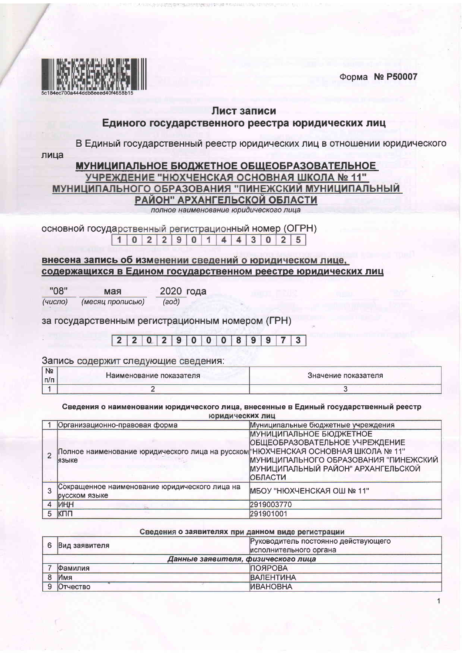Форма № Р50007



## Лист записи

## Единого государственного реестра юридических лиц

В Единый государственный реестр юридических лиц в отношении юридического

лица

### **МУНИЦИПАЛЬНОЕ БЮДЖЕТНОЕ ОБЩЕОБРАЗОВАТЕЛЬНОЕ** УЧРЕЖДЕНИЕ "НЮХЧЕНСКАЯ ОСНОВНАЯ ШКОЛА № 11" МУНИЦИПАЛЬНОГО ОБРАЗОВАНИЯ "ПИНЕЖСКИЙ МУНИЦИПАЛЬНЫЙ РАЙОН" АРХАНГЕЛЬСКОЙ ОБЛАСТИ полное наименование юридического лица

основной государственный регистрационный номер (ОГРН)

| 1 0 2 2 9 0 1 4 4 3 0 2 |  |  |
|-------------------------|--|--|
|-------------------------|--|--|

## внесена запись об изменении сведений о юридическом лице, содержащихся в Едином государственном реестре юридических лиц

| "08"             | мая              | 2020 года |  |
|------------------|------------------|-----------|--|
| (4 <i>UCIO</i> ) | (месяц прописью) | (60S)     |  |

за государственным регистрационным номером (ГРН)

#### $202900089$  $2<sup>1</sup>$  $9$  $\overline{7}$  $\sqrt{3}$

Запись содержит следующие сведения:

| <b>N</b><br>$\Pi$ | Наименование показателя | Значение показателя |
|-------------------|-------------------------|---------------------|
|                   |                         |                     |

Сведения о наименовании юридического лица, внесенные в Единый государственный реестр юридических лиц

| Организационно-правовая форма                                                               | Муниципальные бюджетные учреждения                                                                                                                                |
|---------------------------------------------------------------------------------------------|-------------------------------------------------------------------------------------------------------------------------------------------------------------------|
| Полное наименование юридического лица на русском "НЮХЧЕНСКАЯ ОСНОВНАЯ ШКОЛА № 11"<br>іязыке | <b>МУНИЦИПАЛЬНОЕ БЮДЖЕТНОЕ</b><br>ОБЩЕОБРАЗОВАТЕЛЬНОЕ УЧРЕЖДЕНИЕ<br>МУНИЦИПАЛЬНОГО ОБРАЗОВАНИЯ "ПИНЕЖСКИЙ<br>МУНИЦИПАЛЬНЫЙ РАЙОН" АРХАНГЕЛЬСКОЙ<br><b>ОБЛАСТИ</b> |
| Сокращенное наименование юридического лица на<br>русском языке                              | МБОУ "НЮХЧЕНСКАЯ ОШ № 11"                                                                                                                                         |
| ИНН                                                                                         | 2919003770                                                                                                                                                        |
| КПП                                                                                         | 291901001                                                                                                                                                         |

| Сведения о заявителях при данном виде регистрации |                 |                                     |
|---------------------------------------------------|-----------------|-------------------------------------|
| 6                                                 | Вид заявителя   | Руководитель постоянно действующего |
|                                                   |                 | исполнительного органа              |
|                                                   |                 | Данные заявителя, физического лица  |
|                                                   | Фамилия         | <b>ІПОЯРОВА</b>                     |
|                                                   | Имя             | <b>ВАЛЕНТИНА</b>                    |
|                                                   | <b>Отчество</b> | <b><i><u>MBAHOBHA</u></i></b>       |